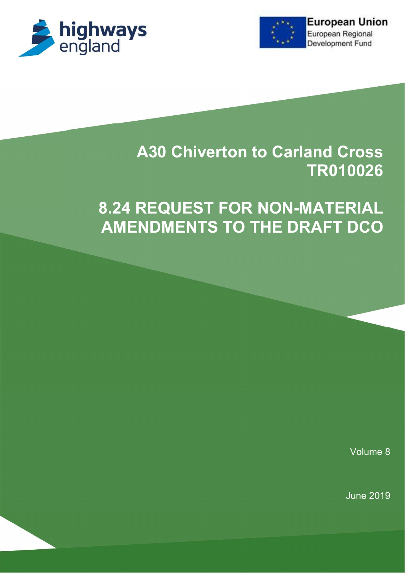



# **A30 Chiverton to Carland Cross** TR010026

# 8.24 REQUEST FOR NON-MATERIAL AMENDMENTS TO THE DRAFT DCO

Volume 8

June 2019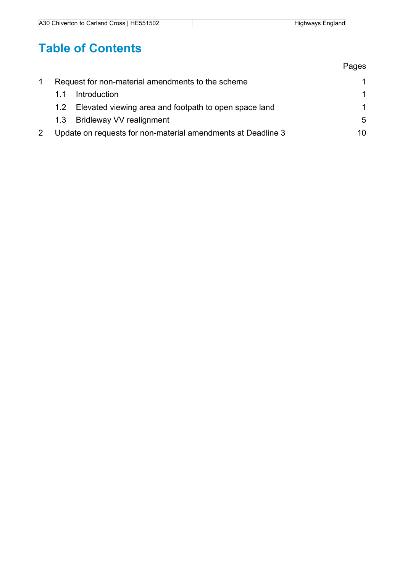# Table of Contents

|                                                                           | Pages |  |
|---------------------------------------------------------------------------|-------|--|
| Request for non-material amendments to the scheme                         | 1     |  |
| Introduction<br>11                                                        | 1     |  |
| Elevated viewing area and footpath to open space land<br>1.2 <sub>1</sub> | 1     |  |
| <b>Bridleway VV realignment</b><br>1.3                                    | 5     |  |
| Update on requests for non-material amendments at Deadline 3              |       |  |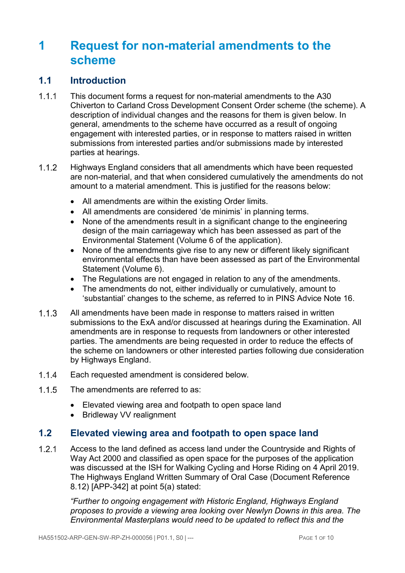## 1 Request for non-material amendments to the scheme

### 1.1 Introduction

- 1.1.1 This document forms a request for non-material amendments to the A30 Chiverton to Carland Cross Development Consent Order scheme (the scheme). A description of individual changes and the reasons for them is given below. In general, amendments to the scheme have occurred as a result of ongoing engagement with interested parties, or in response to matters raised in written submissions from interested parties and/or submissions made by interested parties at hearings.
- 1.1.2 Highways England considers that all amendments which have been requested are non-material, and that when considered cumulatively the amendments do not amount to a material amendment. This is justified for the reasons below:
	- All amendments are within the existing Order limits.
	- All amendments are considered 'de minimis' in planning terms.
	- None of the amendments result in a significant change to the engineering design of the main carriageway which has been assessed as part of the Environmental Statement (Volume 6 of the application).
	- None of the amendments give rise to any new or different likely significant environmental effects than have been assessed as part of the Environmental Statement (Volume 6).
	- The Regulations are not engaged in relation to any of the amendments.
	- The amendments do not, either individually or cumulatively, amount to 'substantial' changes to the scheme, as referred to in PINS Advice Note 16.
- All amendments have been made in response to matters raised in written submissions to the ExA and/or discussed at hearings during the Examination. All amendments are in response to requests from landowners or other interested parties. The amendments are being requested in order to reduce the effects of the scheme on landowners or other interested parties following due consideration by Highways England.
- Each requested amendment is considered below.
- 1.1.5 The amendments are referred to as:
	- Elevated viewing area and footpath to open space land
	- Bridleway VV realignment

### 1.2 Elevated viewing area and footpath to open space land

 Access to the land defined as access land under the Countryside and Rights of Way Act 2000 and classified as open space for the purposes of the application was discussed at the ISH for Walking Cycling and Horse Riding on 4 April 2019. The Highways England Written Summary of Oral Case (Document Reference 8.12) [APP-342] at point 5(a) stated:

"Further to ongoing engagement with Historic England, Highways England proposes to provide a viewing area looking over Newlyn Downs in this area. The Environmental Masterplans would need to be updated to reflect this and the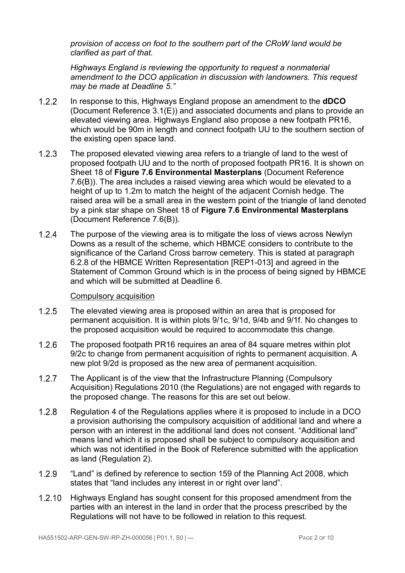provision of access on foot to the southern part of the CRoW land would be clarified as part of that.

Highways England is reviewing the opportunity to request a nonmaterial amendment to the DCO application in discussion with landowners. This request may be made at Deadline 5."

- 1.2.2 In response to this, Highways England propose an amendment to the **dDCO** (Document Reference 3.1(E)) and associated documents and plans to provide an elevated viewing area. Highways England also propose a new footpath PR16, which would be 90m in length and connect footpath UU to the southern section of the existing open space land.
- The proposed elevated viewing area refers to a triangle of land to the west of proposed footpath UU and to the north of proposed footpath PR16. It is shown on Sheet 18 of Figure 7.6 Environmental Masterplans (Document Reference 7.6(B)). The area includes a raised viewing area which would be elevated to a height of up to 1.2m to match the height of the adjacent Cornish hedge. The raised area will be a small area in the western point of the triangle of land denoted by a pink star shape on Sheet 18 of Figure 7.6 Environmental Masterplans (Document Reference 7.6(B)).
- 1.2.4 The purpose of the viewing area is to mitigate the loss of views across Newlyn Downs as a result of the scheme, which HBMCE considers to contribute to the significance of the Carland Cross barrow cemetery. This is stated at paragraph 6.2.8 of the HBMCE Written Representation [REP1-013] and agreed in the Statement of Common Ground which is in the process of being signed by HBMCE and which will be submitted at Deadline 6.

#### Compulsory acquisition

- The elevated viewing area is proposed within an area that is proposed for permanent acquisition. It is within plots 9/1c, 9/1d, 9/4b and 9/1f. No changes to the proposed acquisition would be required to accommodate this change.
- 1.2.6 The proposed footpath PR16 requires an area of 84 square metres within plot 9/2c to change from permanent acquisition of rights to permanent acquisition. A new plot 9/2d is proposed as the new area of permanent acquisition.
- 1.2.7 The Applicant is of the view that the Infrastructure Planning (Compulsory Acquisition) Regulations 2010 (the Regulations) are not engaged with regards to the proposed change. The reasons for this are set out below.
- 1.2.8 Regulation 4 of the Regulations applies where it is proposed to include in a DCO a provision authorising the compulsory acquisition of additional land and where a person with an interest in the additional land does not consent. "Additional land" means land which it is proposed shall be subject to compulsory acquisition and which was not identified in the Book of Reference submitted with the application as land (Regulation 2).
- 1.2.9 "Land" is defined by reference to section 159 of the Planning Act 2008, which states that "land includes any interest in or right over land".
- 1.2.10 Highways England has sought consent for this proposed amendment from the parties with an interest in the land in order that the process prescribed by the Regulations will not have to be followed in relation to this request.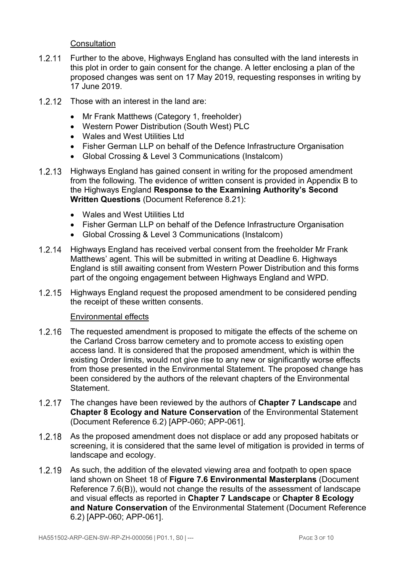**Consultation** 

- 1.2.11 Further to the above, Highways England has consulted with the land interests in this plot in order to gain consent for the change. A letter enclosing a plan of the proposed changes was sent on 17 May 2019, requesting responses in writing by 17 June 2019.
- 1.2.12 Those with an interest in the land are:
	- Mr Frank Matthews (Category 1, freeholder)
	- Western Power Distribution (South West) PLC
	- Wales and West Utilities Ltd
	- Fisher German LLP on behalf of the Defence Infrastructure Organisation
	- Global Crossing & Level 3 Communications (Instalcom)
- 1.2.13 Highways England has gained consent in writing for the proposed amendment from the following. The evidence of written consent is provided in Appendix B to the Highways England Response to the Examining Authority's Second Written Questions (Document Reference 8.21):
	- Wales and West Utilities Ltd
	- Fisher German LLP on behalf of the Defence Infrastructure Organisation
	- Global Crossing & Level 3 Communications (Instalcom)
- 1.2.14 Highways England has received verbal consent from the freeholder Mr Frank Matthews' agent. This will be submitted in writing at Deadline 6. Highways England is still awaiting consent from Western Power Distribution and this forms part of the ongoing engagement between Highways England and WPD.
- 1.2.15 Highways England request the proposed amendment to be considered pending the receipt of these written consents.

#### Environmental effects

- 1.2.16 The requested amendment is proposed to mitigate the effects of the scheme on the Carland Cross barrow cemetery and to promote access to existing open access land. It is considered that the proposed amendment, which is within the existing Order limits, would not give rise to any new or significantly worse effects from those presented in the Environmental Statement. The proposed change has been considered by the authors of the relevant chapters of the Environmental **Statement**
- 1.2.17 The changes have been reviewed by the authors of Chapter 7 Landscape and Chapter 8 Ecology and Nature Conservation of the Environmental Statement (Document Reference 6.2) [APP-060; APP-061].
- 1.2.18 As the proposed amendment does not displace or add any proposed habitats or screening, it is considered that the same level of mitigation is provided in terms of landscape and ecology.
- 1.2.19 As such, the addition of the elevated viewing area and footpath to open space land shown on Sheet 18 of Figure 7.6 Environmental Masterplans (Document Reference 7.6(B)), would not change the results of the assessment of landscape and visual effects as reported in Chapter 7 Landscape or Chapter 8 Ecology and Nature Conservation of the Environmental Statement (Document Reference 6.2) [APP-060; APP-061].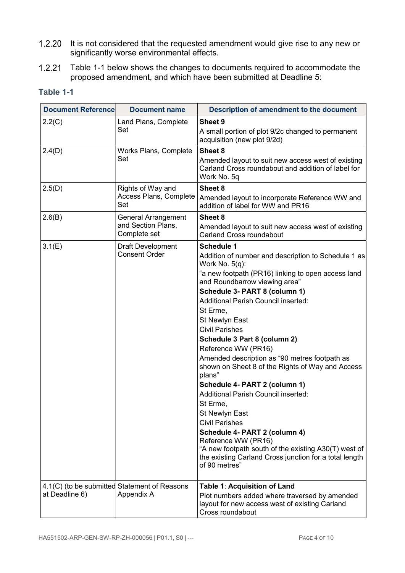- 1.2.20 It is not considered that the requested amendment would give rise to any new or significantly worse environmental effects.
- 1.2.21 Table 1-1 below shows the changes to documents required to accommodate the proposed amendment, and which have been submitted at Deadline 5:

| <b>Document Reference</b> | <b>Document name</b>                                       | Description of amendment to the document                                                                                                                                                                                                                                                                                                                                                                                                                                                                                                                                                                                                                                                                                                                                                                                                 |
|---------------------------|------------------------------------------------------------|------------------------------------------------------------------------------------------------------------------------------------------------------------------------------------------------------------------------------------------------------------------------------------------------------------------------------------------------------------------------------------------------------------------------------------------------------------------------------------------------------------------------------------------------------------------------------------------------------------------------------------------------------------------------------------------------------------------------------------------------------------------------------------------------------------------------------------------|
| 2.2(C)                    | Land Plans, Complete<br>Set                                | Sheet 9<br>A small portion of plot 9/2c changed to permanent<br>acquisition (new plot 9/2d)                                                                                                                                                                                                                                                                                                                                                                                                                                                                                                                                                                                                                                                                                                                                              |
| 2.4(D)                    | <b>Works Plans, Complete</b><br>Set                        | Sheet 8<br>Amended layout to suit new access west of existing<br>Carland Cross roundabout and addition of label for<br>Work No. 5q                                                                                                                                                                                                                                                                                                                                                                                                                                                                                                                                                                                                                                                                                                       |
| 2.5(D)                    | Rights of Way and<br>Access Plans, Complete<br>Set         | Sheet 8<br>Amended layout to incorporate Reference WW and<br>addition of label for WW and PR16                                                                                                                                                                                                                                                                                                                                                                                                                                                                                                                                                                                                                                                                                                                                           |
| 2.6(B)                    | General Arrangement<br>and Section Plans,<br>Complete set  | <b>Sheet 8</b><br>Amended layout to suit new access west of existing<br><b>Carland Cross roundabout</b>                                                                                                                                                                                                                                                                                                                                                                                                                                                                                                                                                                                                                                                                                                                                  |
| 3.1(E)                    | <b>Draft Development</b><br><b>Consent Order</b>           | <b>Schedule 1</b><br>Addition of number and description to Schedule 1 as<br>Work No. $5(q)$ :<br>"a new footpath (PR16) linking to open access land<br>and Roundbarrow viewing area"<br>Schedule 3- PART 8 (column 1)<br><b>Additional Parish Council inserted:</b><br>St Erme,<br><b>St Newlyn East</b><br><b>Civil Parishes</b><br>Schedule 3 Part 8 (column 2)<br>Reference WW (PR16)<br>Amended description as "90 metres footpath as<br>shown on Sheet 8 of the Rights of Way and Access<br>plans"<br>Schedule 4- PART 2 (column 1)<br><b>Additional Parish Council inserted:</b><br>St Erme,<br>St Newlyn East<br><b>Civil Parishes</b><br>Schedule 4- PART 2 (column 4)<br>Reference WW (PR16)<br>"A new footpath south of the existing A30(T) west of<br>the existing Carland Cross junction for a total length<br>of 90 metres" |
| at Deadline 6)            | 4.1(C) (to be submitted Statement of Reasons<br>Appendix A | Table 1: Acquisition of Land<br>Plot numbers added where traversed by amended<br>layout for new access west of existing Carland<br>Cross roundabout                                                                                                                                                                                                                                                                                                                                                                                                                                                                                                                                                                                                                                                                                      |

#### Table 1-1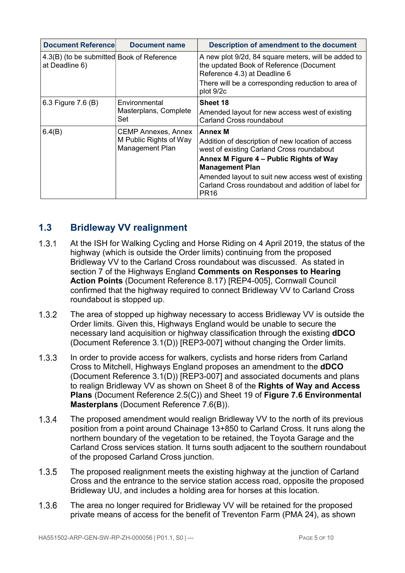| <b>Document Reference</b>                                   | Document name                                                           | Description of amendment to the document                                                                                                                                                                                                                                                                              |
|-------------------------------------------------------------|-------------------------------------------------------------------------|-----------------------------------------------------------------------------------------------------------------------------------------------------------------------------------------------------------------------------------------------------------------------------------------------------------------------|
| 4.3(B) (to be submitted Book of Reference<br>at Deadline 6) |                                                                         | A new plot 9/2d, 84 square meters, will be added to<br>the updated Book of Reference (Document<br>Reference 4.3) at Deadline 6                                                                                                                                                                                        |
|                                                             |                                                                         | There will be a corresponding reduction to area of<br>plot 9/2c                                                                                                                                                                                                                                                       |
| 6.3 Figure 7.6 (B)                                          | Environmental<br>Masterplans, Complete<br>Set                           | Sheet 18<br>Amended layout for new access west of existing<br><b>Carland Cross roundabout</b>                                                                                                                                                                                                                         |
| 6.4(B)                                                      | <b>CEMP Annexes, Annex</b><br>M Public Rights of Way<br>Management Plan | <b>Annex M</b><br>Addition of description of new location of access<br>west of existing Carland Cross roundabout<br>Annex M Figure 4 - Public Rights of Way<br><b>Management Plan</b><br>Amended layout to suit new access west of existing<br>Carland Cross roundabout and addition of label for<br>PR <sub>16</sub> |

### 1.3 Bridleway VV realignment

- At the ISH for Walking Cycling and Horse Riding on 4 April 2019, the status of the highway (which is outside the Order limits) continuing from the proposed Bridleway VV to the Carland Cross roundabout was discussed. As stated in section 7 of the Highways England Comments on Responses to Hearing Action Points (Document Reference 8.17) [REP4-005], Cornwall Council confirmed that the highway required to connect Bridleway VV to Carland Cross roundabout is stopped up.
- 1.3.2 The area of stopped up highway necessary to access Bridleway VV is outside the Order limits. Given this, Highways England would be unable to secure the necessary land acquisition or highway classification through the existing dDCO (Document Reference 3.1(D)) [REP3-007] without changing the Order limits.
- 1.3.3 In order to provide access for walkers, cyclists and horse riders from Carland Cross to Mitchell, Highways England proposes an amendment to the dDCO (Document Reference 3.1(D)) [REP3-007] and associated documents and plans to realign Bridleway VV as shown on Sheet 8 of the **Rights of Way and Access** Plans (Document Reference 2.5(C)) and Sheet 19 of Figure 7.6 Environmental Masterplans (Document Reference 7.6(B)).
- 1.3.4 The proposed amendment would realign Bridleway VV to the north of its previous position from a point around Chainage 13+850 to Carland Cross. It runs along the northern boundary of the vegetation to be retained, the Toyota Garage and the Carland Cross services station. It turns south adjacent to the southern roundabout of the proposed Carland Cross junction.
- 1.3.5 The proposed realignment meets the existing highway at the junction of Carland Cross and the entrance to the service station access road, opposite the proposed Bridleway UU, and includes a holding area for horses at this location.
- 1.3.6 The area no longer required for Bridleway VV will be retained for the proposed private means of access for the benefit of Treventon Farm (PMA 24), as shown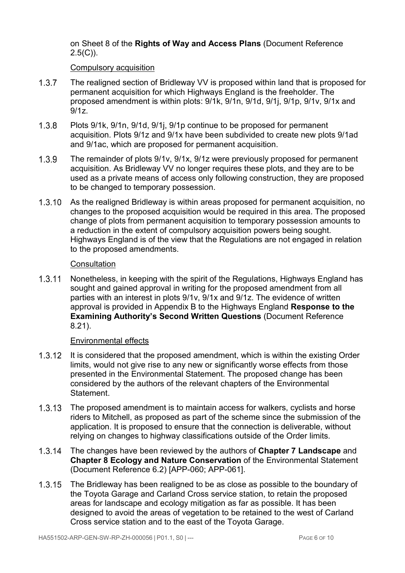on Sheet 8 of the Rights of Way and Access Plans (Document Reference  $2.5(C)$ ).

#### Compulsory acquisition

- 1.3.7 The realigned section of Bridleway VV is proposed within land that is proposed for permanent acquisition for which Highways England is the freeholder. The proposed amendment is within plots: 9/1k, 9/1n, 9/1d, 9/1j, 9/1p, 9/1v, 9/1x and 9/1z.
- Plots 9/1k, 9/1n, 9/1d, 9/1j, 9/1p continue to be proposed for permanent acquisition. Plots 9/1z and 9/1x have been subdivided to create new plots 9/1ad and 9/1ac, which are proposed for permanent acquisition.
- The remainder of plots 9/1v, 9/1x, 9/1z were previously proposed for permanent acquisition. As Bridleway VV no longer requires these plots, and they are to be used as a private means of access only following construction, they are proposed to be changed to temporary possession.
- 1.3.10 As the realigned Bridleway is within areas proposed for permanent acquisition, no changes to the proposed acquisition would be required in this area. The proposed change of plots from permanent acquisition to temporary possession amounts to a reduction in the extent of compulsory acquisition powers being sought. Highways England is of the view that the Regulations are not engaged in relation to the proposed amendments.

#### **Consultation**

1.3.11 Nonetheless, in keeping with the spirit of the Regulations, Highways England has sought and gained approval in writing for the proposed amendment from all parties with an interest in plots 9/1v, 9/1x and 9/1z. The evidence of written approval is provided in Appendix B to the Highways England Response to the Examining Authority's Second Written Questions (Document Reference 8.21).

#### Environmental effects

- 1.3.12 It is considered that the proposed amendment, which is within the existing Order limits, would not give rise to any new or significantly worse effects from those presented in the Environmental Statement. The proposed change has been considered by the authors of the relevant chapters of the Environmental Statement.
- 1.3.13 The proposed amendment is to maintain access for walkers, cyclists and horse riders to Mitchell, as proposed as part of the scheme since the submission of the application. It is proposed to ensure that the connection is deliverable, without relying on changes to highway classifications outside of the Order limits.
- 1.3.14 The changes have been reviewed by the authors of Chapter 7 Landscape and Chapter 8 Ecology and Nature Conservation of the Environmental Statement (Document Reference 6.2) [APP-060; APP-061].
- 1.3.15 The Bridleway has been realigned to be as close as possible to the boundary of the Toyota Garage and Carland Cross service station, to retain the proposed areas for landscape and ecology mitigation as far as possible. It has been designed to avoid the areas of vegetation to be retained to the west of Carland Cross service station and to the east of the Toyota Garage.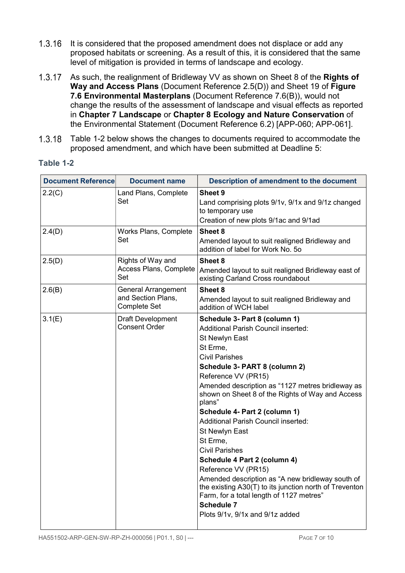- 1.3.16 It is considered that the proposed amendment does not displace or add any proposed habitats or screening. As a result of this, it is considered that the same level of mitigation is provided in terms of landscape and ecology.
- 1.3.17 As such, the realignment of Bridleway VV as shown on Sheet 8 of the Rights of Way and Access Plans (Document Reference 2.5(D)) and Sheet 19 of Figure 7.6 Environmental Masterplans (Document Reference 7.6(B)), would not change the results of the assessment of landscape and visual effects as reported in Chapter 7 Landscape or Chapter 8 Ecology and Nature Conservation of the Environmental Statement (Document Reference 6.2) [APP-060; APP-061].
- 1.3.18 Table 1-2 below shows the changes to documents required to accommodate the proposed amendment, and which have been submitted at Deadline 5:

| <b>abl</b><br>ro |  |
|------------------|--|
|------------------|--|

| <b>Document Reference</b> | <b>Document name</b>                                                    | Description of amendment to the document                                                                                                                                                                                                                                                                                                                                                                                                                                                                                                                                                                                                                                                                                    |
|---------------------------|-------------------------------------------------------------------------|-----------------------------------------------------------------------------------------------------------------------------------------------------------------------------------------------------------------------------------------------------------------------------------------------------------------------------------------------------------------------------------------------------------------------------------------------------------------------------------------------------------------------------------------------------------------------------------------------------------------------------------------------------------------------------------------------------------------------------|
| 2.2(C)                    | Land Plans, Complete<br>Set                                             | Sheet 9<br>Land comprising plots 9/1v, 9/1x and 9/1z changed<br>to temporary use<br>Creation of new plots 9/1ac and 9/1ad                                                                                                                                                                                                                                                                                                                                                                                                                                                                                                                                                                                                   |
| 2.4(D)                    | Works Plans, Complete<br>Set                                            | Sheet 8<br>Amended layout to suit realigned Bridleway and<br>addition of label for Work No. 50                                                                                                                                                                                                                                                                                                                                                                                                                                                                                                                                                                                                                              |
| 2.5(D)                    | Rights of Way and<br>Access Plans, Complete<br>Set                      | Sheet 8<br>Amended layout to suit realigned Bridleway east of<br>existing Carland Cross roundabout                                                                                                                                                                                                                                                                                                                                                                                                                                                                                                                                                                                                                          |
| 2.6(B)                    | <b>General Arrangement</b><br>and Section Plans,<br><b>Complete Set</b> | Sheet 8<br>Amended layout to suit realigned Bridleway and<br>addition of WCH label                                                                                                                                                                                                                                                                                                                                                                                                                                                                                                                                                                                                                                          |
| 3.1(E)                    | <b>Draft Development</b><br><b>Consent Order</b>                        | Schedule 3- Part 8 (column 1)<br><b>Additional Parish Council inserted:</b><br>St Newlyn East<br>St Erme,<br><b>Civil Parishes</b><br>Schedule 3- PART 8 (column 2)<br>Reference VV (PR15)<br>Amended description as "1127 metres bridleway as<br>shown on Sheet 8 of the Rights of Way and Access<br>plans"<br>Schedule 4- Part 2 (column 1)<br><b>Additional Parish Council inserted:</b><br>St Newlyn East<br>St Erme,<br><b>Civil Parishes</b><br>Schedule 4 Part 2 (column 4)<br>Reference VV (PR15)<br>Amended description as "A new bridleway south of<br>the existing A30(T) to its junction north of Treventon<br>Farm, for a total length of 1127 metres"<br><b>Schedule 7</b><br>Plots 9/1v, 9/1x and 9/1z added |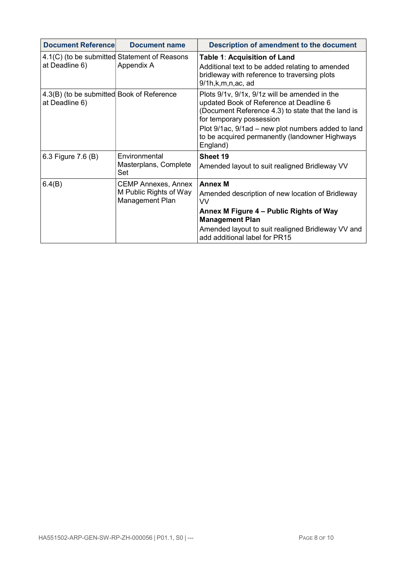| <b>Document Referencel</b>                                  | <b>Document name</b>                                                    | Description of amendment to the document                                                                                                                                                                                                                                                       |
|-------------------------------------------------------------|-------------------------------------------------------------------------|------------------------------------------------------------------------------------------------------------------------------------------------------------------------------------------------------------------------------------------------------------------------------------------------|
| at Deadline 6)                                              | 4.1(C) (to be submitted Statement of Reasons<br>Appendix A              | Table 1: Acquisition of Land<br>Additional text to be added relating to amended<br>bridleway with reference to traversing plots<br>$9/1h$ , $k$ , $m$ , $n$ , $ac$ , ad                                                                                                                        |
| 4.3(B) (to be submitted Book of Reference<br>at Deadline 6) |                                                                         | Plots 9/1v, 9/1x, 9/1z will be amended in the<br>updated Book of Reference at Deadline 6<br>(Document Reference 4.3) to state that the land is<br>for temporary possession<br>Plot 9/1ac, 9/1ad – new plot numbers added to land<br>to be acquired permanently (landowner Highways<br>England) |
| 6.3 Figure 7.6 (B)                                          | Environmental<br>Masterplans, Complete<br>Set                           | Sheet 19<br>Amended layout to suit realigned Bridleway VV                                                                                                                                                                                                                                      |
| 6.4(B)                                                      | <b>CEMP Annexes, Annex</b><br>M Public Rights of Way<br>Management Plan | <b>Annex M</b><br>Amended description of new location of Bridleway<br>W<br>Annex M Figure 4 – Public Rights of Way<br><b>Management Plan</b><br>Amended layout to suit realigned Bridleway VV and<br>add additional label for PR15                                                             |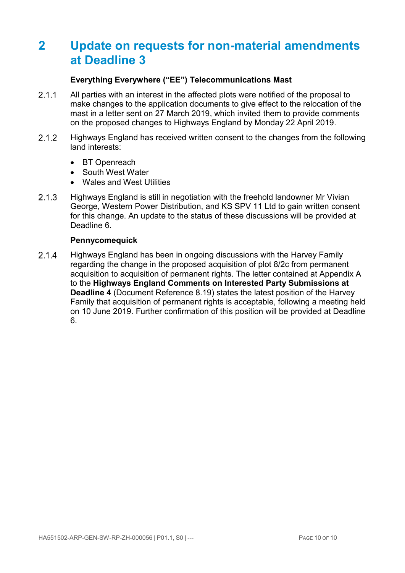## 2 Update on requests for non-material amendments at Deadline 3

#### Everything Everywhere ("EE") Telecommunications Mast

- 2.1.1 All parties with an interest in the affected plots were notified of the proposal to make changes to the application documents to give effect to the relocation of the mast in a letter sent on 27 March 2019, which invited them to provide comments on the proposed changes to Highways England by Monday 22 April 2019.
- 2.1.2 Highways England has received written consent to the changes from the following land interests:
	- BT Openreach
	- South West Water
	- Wales and West Utilities
- 2.1.3 Highways England is still in negotiation with the freehold landowner Mr Vivian George, Western Power Distribution, and KS SPV 11 Ltd to gain written consent for this change. An update to the status of these discussions will be provided at Deadline 6.

#### **Pennycomequick**

2.1.4 Highways England has been in ongoing discussions with the Harvey Family regarding the change in the proposed acquisition of plot 8/2c from permanent acquisition to acquisition of permanent rights. The letter contained at Appendix A to the Highways England Comments on Interested Party Submissions at Deadline 4 (Document Reference 8.19) states the latest position of the Harvey Family that acquisition of permanent rights is acceptable, following a meeting held on 10 June 2019. Further confirmation of this position will be provided at Deadline 6.